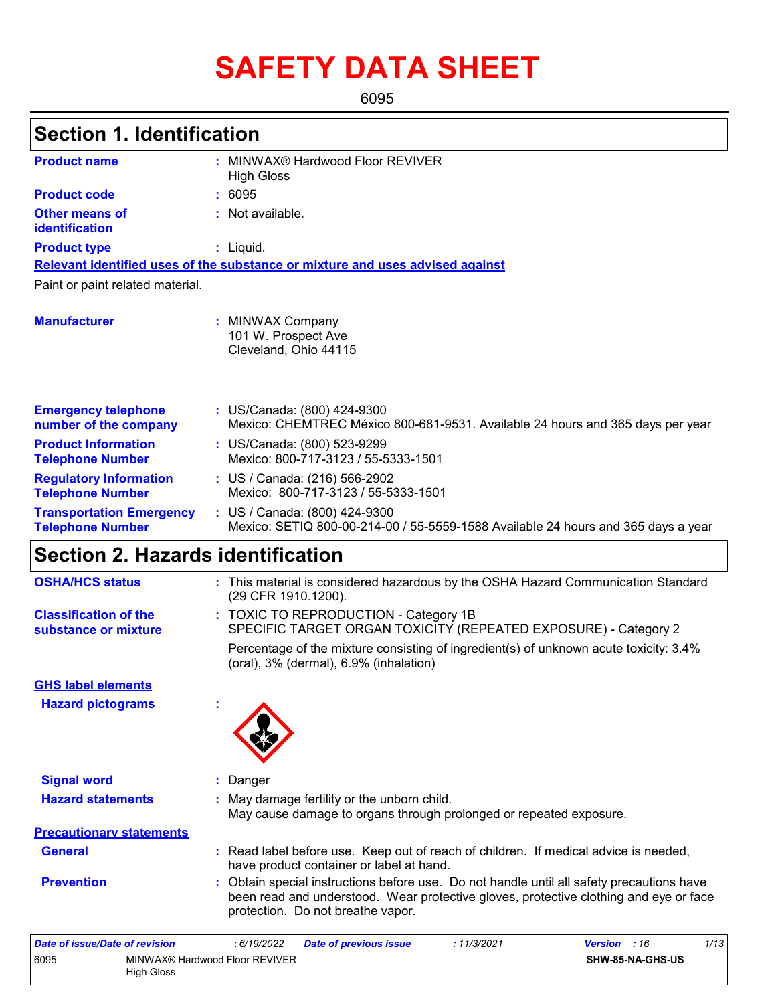# **SAFETY DATA SHEET**

6095

#### MINWAX® Hardwood Floor REVIVER **:** High Gloss Not available. **:** Liquid. **:** US/Canada: (800) 424-9300 **:** Mexico: CHEMTREC México 800-681-9531. Available 24 hours and 365 days per year **Product name Other means of identification Product type Emergency telephone number of the company Section 1. Identification Manufacturer :** MINWAX Company 101 W. Prospect Ave Cleveland, Ohio 44115 **Relevant identified uses of the substance or mixture and uses advised against** Paint or paint related material. **Product code :** 6095 **Product Information Telephone Number :** US/Canada: (800) 523-9299 Mexico: 800-717-3123 / 55-5333-1501 **Regulatory Information Telephone Number :** US / Canada: (216) 566-2902 Mexico: 800-717-3123 / 55-5333-1501 **Transportation Emergency Telephone Number :** US / Canada: (800) 424-9300 Mexico: SETIQ 800-00-214-00 / 55-5559-1588 Available 24 hours and 365 days a year **Section 2. Hazards identification** TOXIC TO REPRODUCTION - Category 1B **:** SPECIFIC TARGET ORGAN TOXICITY (REPEATED EXPOSURE) - Category 2 **Classification of the substance or mixture** Percentage of the mixture consisting of ingredient(s) of unknown acute toxicity: 3.4% **OSHA/HCS status :** This material is considered hazardous by the OSHA Hazard Communication Standard (29 CFR 1910.1200).

(oral), 3% (dermal), 6.9% (inhalation)

**Hazard pictograms : GHS label elements**



| <b>Signal word</b>              | : Danger                                                                                                                                                                                                                |
|---------------------------------|-------------------------------------------------------------------------------------------------------------------------------------------------------------------------------------------------------------------------|
| <b>Hazard statements</b>        | : May damage fertility or the unborn child.<br>May cause damage to organs through prolonged or repeated exposure.                                                                                                       |
| <b>Precautionary statements</b> |                                                                                                                                                                                                                         |
| <b>General</b>                  | : Read label before use. Keep out of reach of children. If medical advice is needed,<br>have product container or label at hand.                                                                                        |
| <b>Prevention</b>               | : Obtain special instructions before use. Do not handle until all safety precautions have<br>been read and understood. Wear protective gloves, protective clothing and eye or face<br>protection. Do not breathe vapor. |

| Date of issue/Date of revision |                                              | : 6/19/2022 | <b>Date of previous issue</b> | : 11/3/2021 | <b>Version</b> : 16     | 1/13 |
|--------------------------------|----------------------------------------------|-------------|-------------------------------|-------------|-------------------------|------|
| 6095                           | MINWAX® Hardwood Floor REVIVER<br>High Gloss |             |                               |             | <b>SHW-85-NA-GHS-US</b> |      |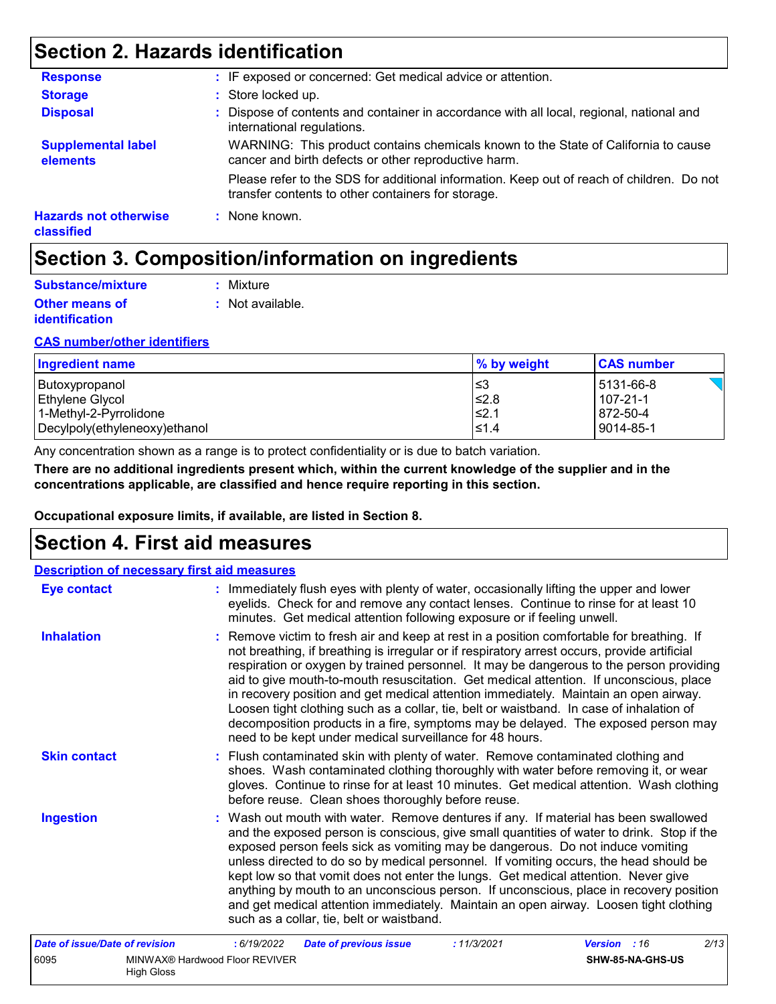## **Section 2. Hazards identification**

| <b>Response</b>                            | : IF exposed or concerned: Get medical advice or attention.                                                                                     |
|--------------------------------------------|-------------------------------------------------------------------------------------------------------------------------------------------------|
| <b>Storage</b>                             | : Store locked up.                                                                                                                              |
| <b>Disposal</b>                            | : Dispose of contents and container in accordance with all local, regional, national and<br>international regulations.                          |
| <b>Supplemental label</b><br>elements      | WARNING: This product contains chemicals known to the State of California to cause<br>cancer and birth defects or other reproductive harm.      |
|                                            | Please refer to the SDS for additional information. Keep out of reach of children. Do not<br>transfer contents to other containers for storage. |
| <b>Hazards not otherwise</b><br>classified | : None known.                                                                                                                                   |

## **Section 3. Composition/information on ingredients**

| Substance/mixture                              | : Mixture        |
|------------------------------------------------|------------------|
| <b>Other means of</b><br><i>identification</i> | : Not available. |

#### **CAS number/other identifiers**

| Ingredient name               | $\frac{1}{2}$ by weight | <b>CAS number</b> |
|-------------------------------|-------------------------|-------------------|
| Butoxypropanol                | l≤3                     | 5131-66-8         |
| Ethylene Glycol               | ≰2.8                    | 107-21-1          |
| 1-Methyl-2-Pyrrolidone        | l≤2.1                   | 872-50-4          |
| Decylpoly(ethyleneoxy)ethanol | $\leq 1.4$              | $ 9014 - 85 - 1$  |

Any concentration shown as a range is to protect confidentiality or is due to batch variation.

**There are no additional ingredients present which, within the current knowledge of the supplier and in the concentrations applicable, are classified and hence require reporting in this section.**

**Occupational exposure limits, if available, are listed in Section 8.**

### **Section 4. First aid measures**

High Gloss

| <b>Description of necessary first aid measures</b> |                                                                                                                                                                                                                                                                                                                                                                                                                                                                                                                                                                                                                                                                                                                     |
|----------------------------------------------------|---------------------------------------------------------------------------------------------------------------------------------------------------------------------------------------------------------------------------------------------------------------------------------------------------------------------------------------------------------------------------------------------------------------------------------------------------------------------------------------------------------------------------------------------------------------------------------------------------------------------------------------------------------------------------------------------------------------------|
| <b>Eye contact</b>                                 | : Immediately flush eyes with plenty of water, occasionally lifting the upper and lower<br>eyelids. Check for and remove any contact lenses. Continue to rinse for at least 10<br>minutes. Get medical attention following exposure or if feeling unwell.                                                                                                                                                                                                                                                                                                                                                                                                                                                           |
| <b>Inhalation</b>                                  | : Remove victim to fresh air and keep at rest in a position comfortable for breathing. If<br>not breathing, if breathing is irregular or if respiratory arrest occurs, provide artificial<br>respiration or oxygen by trained personnel. It may be dangerous to the person providing<br>aid to give mouth-to-mouth resuscitation. Get medical attention. If unconscious, place<br>in recovery position and get medical attention immediately. Maintain an open airway.<br>Loosen tight clothing such as a collar, tie, belt or waistband. In case of inhalation of<br>decomposition products in a fire, symptoms may be delayed. The exposed person may<br>need to be kept under medical surveillance for 48 hours. |
| <b>Skin contact</b>                                | : Flush contaminated skin with plenty of water. Remove contaminated clothing and<br>shoes. Wash contaminated clothing thoroughly with water before removing it, or wear<br>gloves. Continue to rinse for at least 10 minutes. Get medical attention. Wash clothing<br>before reuse. Clean shoes thoroughly before reuse.                                                                                                                                                                                                                                                                                                                                                                                            |
| <b>Ingestion</b>                                   | : Wash out mouth with water. Remove dentures if any. If material has been swallowed<br>and the exposed person is conscious, give small quantities of water to drink. Stop if the<br>exposed person feels sick as vomiting may be dangerous. Do not induce vomiting<br>unless directed to do so by medical personnel. If vomiting occurs, the head should be<br>kept low so that vomit does not enter the lungs. Get medical attention. Never give<br>anything by mouth to an unconscious person. If unconscious, place in recovery position<br>and get medical attention immediately. Maintain an open airway. Loosen tight clothing<br>such as a collar, tie, belt or waistband.                                   |
| Date of issue/Date of revision                     | 2/13<br>: 11/3/2021<br>: 6/19/2022<br><b>Date of previous issue</b><br><b>Version</b> : 16                                                                                                                                                                                                                                                                                                                                                                                                                                                                                                                                                                                                                          |
| 6095                                               | MINWAX® Hardwood Floor REVIVER<br>SHW-85-NA-GHS-US                                                                                                                                                                                                                                                                                                                                                                                                                                                                                                                                                                                                                                                                  |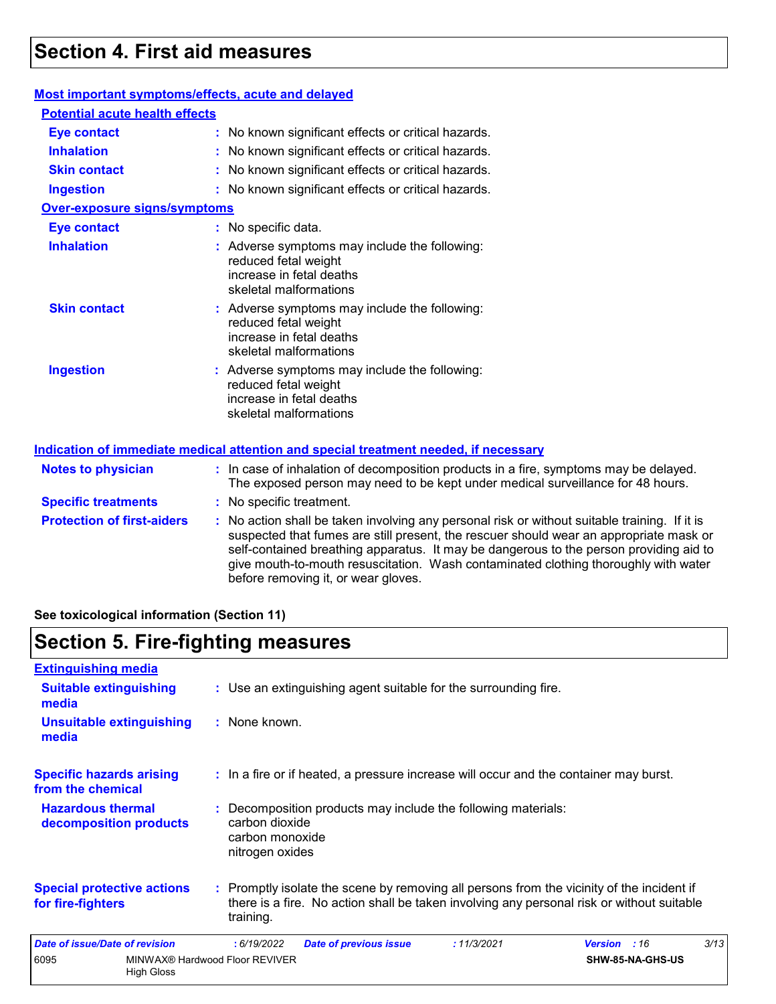### **Section 4. First aid measures**

#### **Most important symptoms/effects, acute and delayed**

| <b>Potential acute health effects</b> |                                                                                                                                                                          |
|---------------------------------------|--------------------------------------------------------------------------------------------------------------------------------------------------------------------------|
| <b>Eye contact</b>                    | : No known significant effects or critical hazards.                                                                                                                      |
| <b>Inhalation</b>                     | : No known significant effects or critical hazards.                                                                                                                      |
| <b>Skin contact</b>                   | : No known significant effects or critical hazards.                                                                                                                      |
| <b>Ingestion</b>                      | : No known significant effects or critical hazards.                                                                                                                      |
| <b>Over-exposure signs/symptoms</b>   |                                                                                                                                                                          |
| <b>Eye contact</b>                    | : No specific data.                                                                                                                                                      |
| <b>Inhalation</b>                     | : Adverse symptoms may include the following:<br>reduced fetal weight<br>increase in fetal deaths<br>skeletal malformations                                              |
| <b>Skin contact</b>                   | : Adverse symptoms may include the following:<br>reduced fetal weight<br>increase in fetal deaths<br>skeletal malformations                                              |
| <b>Ingestion</b>                      | : Adverse symptoms may include the following:<br>reduced fetal weight<br>increase in fetal deaths<br>skeletal malformations                                              |
|                                       | Indication of immediate medical attention and special treatment needed, if necessary                                                                                     |
| <b>Notes to physician</b>             | : In case of inhalation of decomposition products in a fire, symptoms may be delayed.<br>The exposed person may need to be kept under medical surveillance for 48 hours. |
| <b>Specific treatments</b>            | No specific treatment.                                                                                                                                                   |

**Protection of first-aiders :** No action shall be taken involving any personal risk or without suitable training. If it is suspected that fumes are still present, the rescuer should wear an appropriate mask or self-contained breathing apparatus. It may be dangerous to the person providing aid to give mouth-to-mouth resuscitation. Wash contaminated clothing thoroughly with water before removing it, or wear gloves.

**See toxicological information (Section 11)**

### **Section 5. Fire-fighting measures**

| <b>Extinguishing media</b>                             |                                                     |                                                      |                                                                                                                                                                                        |             |                |                  |      |
|--------------------------------------------------------|-----------------------------------------------------|------------------------------------------------------|----------------------------------------------------------------------------------------------------------------------------------------------------------------------------------------|-------------|----------------|------------------|------|
| <b>Suitable extinguishing</b><br>media                 |                                                     |                                                      | : Use an extinguishing agent suitable for the surrounding fire.                                                                                                                        |             |                |                  |      |
| <b>Unsuitable extinguishing</b><br>media               |                                                     | : None known.                                        |                                                                                                                                                                                        |             |                |                  |      |
| <b>Specific hazards arising</b><br>from the chemical   |                                                     |                                                      | : In a fire or if heated, a pressure increase will occur and the container may burst.                                                                                                  |             |                |                  |      |
| <b>Hazardous thermal</b><br>decomposition products     |                                                     | carbon dioxide<br>carbon monoxide<br>nitrogen oxides | : Decomposition products may include the following materials:                                                                                                                          |             |                |                  |      |
| <b>Special protective actions</b><br>for fire-fighters |                                                     | training.                                            | : Promptly isolate the scene by removing all persons from the vicinity of the incident if<br>there is a fire. No action shall be taken involving any personal risk or without suitable |             |                |                  |      |
| <b>Date of issue/Date of revision</b>                  |                                                     | : 6/19/2022                                          | <b>Date of previous issue</b>                                                                                                                                                          | : 11/3/2021 | <b>Version</b> | :16              | 3/13 |
| 6095                                                   | MINWAX® Hardwood Floor REVIVER<br><b>High Gloss</b> |                                                      |                                                                                                                                                                                        |             |                | SHW-85-NA-GHS-US |      |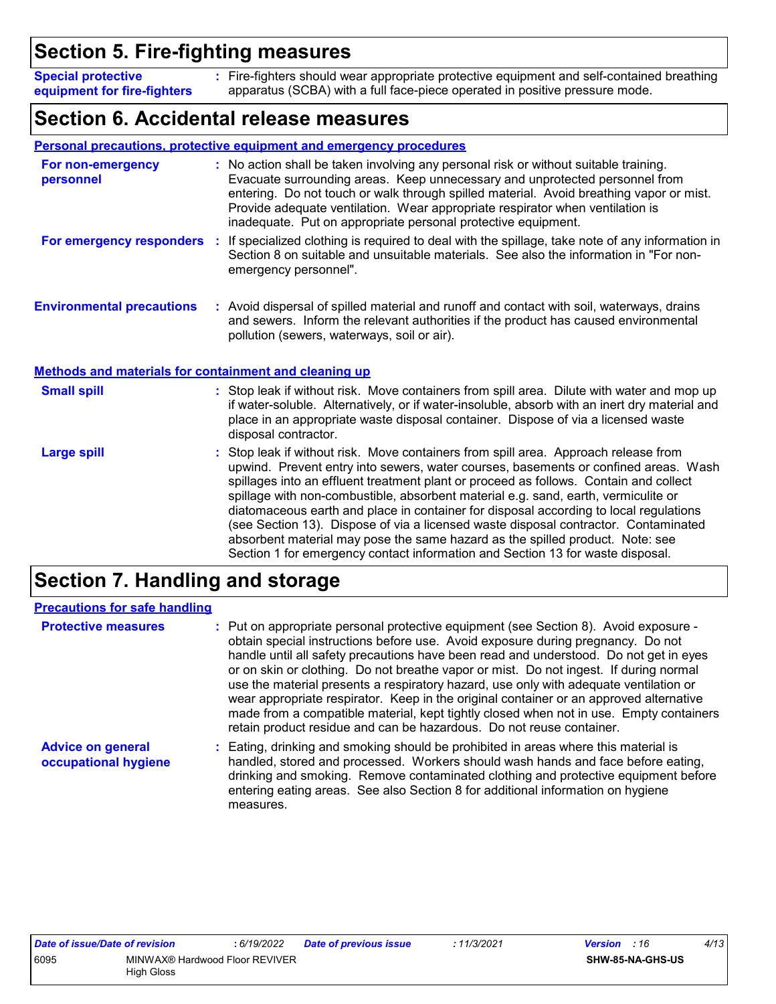## **Section 5. Fire-fighting measures**

Fire-fighters should wear appropriate protective equipment and self-contained breathing **:** apparatus (SCBA) with a full face-piece operated in positive pressure mode. **Special protective equipment for fire-fighters**

### **Section 6. Accidental release measures**

|                                                              | <b>Personal precautions, protective equipment and emergency procedures</b>                                                                                                                                                                                                                                                                                                                                       |
|--------------------------------------------------------------|------------------------------------------------------------------------------------------------------------------------------------------------------------------------------------------------------------------------------------------------------------------------------------------------------------------------------------------------------------------------------------------------------------------|
| For non-emergency<br>personnel                               | : No action shall be taken involving any personal risk or without suitable training.<br>Evacuate surrounding areas. Keep unnecessary and unprotected personnel from<br>entering. Do not touch or walk through spilled material. Avoid breathing vapor or mist.<br>Provide adequate ventilation. Wear appropriate respirator when ventilation is<br>inadequate. Put on appropriate personal protective equipment. |
| <b>For emergency responders :</b>                            | If specialized clothing is required to deal with the spillage, take note of any information in<br>Section 8 on suitable and unsuitable materials. See also the information in "For non-<br>emergency personnel".                                                                                                                                                                                                 |
| <b>Environmental precautions</b>                             | : Avoid dispersal of spilled material and runoff and contact with soil, waterways, drains<br>and sewers. Inform the relevant authorities if the product has caused environmental<br>pollution (sewers, waterways, soil or air).                                                                                                                                                                                  |
| <b>Methods and materials for containment and cleaning up</b> |                                                                                                                                                                                                                                                                                                                                                                                                                  |
| <b>Small spill</b>                                           | : Stop leak if without risk. Move containers from spill area. Dilute with water and mop up<br>if water-soluble. Alternatively, or if water-insoluble, absorb with an inert dry material and<br>place in an appropriate waste disposal container. Dispose of via a licensed waste<br>disposal contractor.                                                                                                         |
| <b>Large spill</b>                                           | : Stop leak if without risk. Move containers from spill area. Approach release from<br>upwind. Prevent entry into sewers, water courses, basements or confined areas. Wash                                                                                                                                                                                                                                       |

spillages into an effluent treatment plant or proceed as follows. Contain and collect spillage with non-combustible, absorbent material e.g. sand, earth, vermiculite or diatomaceous earth and place in container for disposal according to local regulations (see Section 13). Dispose of via a licensed waste disposal contractor. Contaminated absorbent material may pose the same hazard as the spilled product. Note: see Section 1 for emergency contact information and Section 13 for waste disposal.

## **Section 7. Handling and storage**

| <b>Precautions for safe handling</b>             |                                                                                                                                                                                                                                                                                                                                                                                                                                                                                                                                                                                                                                                                                                                |
|--------------------------------------------------|----------------------------------------------------------------------------------------------------------------------------------------------------------------------------------------------------------------------------------------------------------------------------------------------------------------------------------------------------------------------------------------------------------------------------------------------------------------------------------------------------------------------------------------------------------------------------------------------------------------------------------------------------------------------------------------------------------------|
| <b>Protective measures</b>                       | : Put on appropriate personal protective equipment (see Section 8). Avoid exposure -<br>obtain special instructions before use. Avoid exposure during pregnancy. Do not<br>handle until all safety precautions have been read and understood. Do not get in eyes<br>or on skin or clothing. Do not breathe vapor or mist. Do not ingest. If during normal<br>use the material presents a respiratory hazard, use only with adequate ventilation or<br>wear appropriate respirator. Keep in the original container or an approved alternative<br>made from a compatible material, kept tightly closed when not in use. Empty containers<br>retain product residue and can be hazardous. Do not reuse container. |
| <b>Advice on general</b><br>occupational hygiene | : Eating, drinking and smoking should be prohibited in areas where this material is<br>handled, stored and processed. Workers should wash hands and face before eating,<br>drinking and smoking. Remove contaminated clothing and protective equipment before<br>entering eating areas. See also Section 8 for additional information on hygiene<br>measures.                                                                                                                                                                                                                                                                                                                                                  |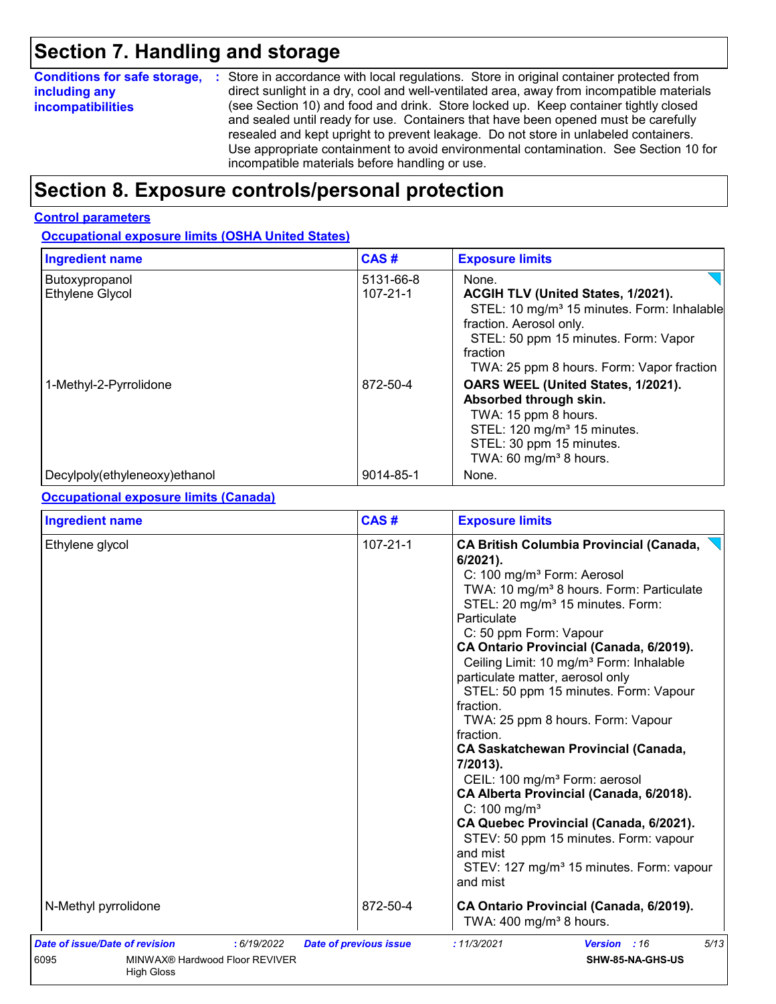## **Section 7. Handling and storage**

| <b>Conditions for safe storage,</b> | : Store in accordance with local regulations. Store in original container protected from  |
|-------------------------------------|-------------------------------------------------------------------------------------------|
| including any                       | direct sunlight in a dry, cool and well-ventilated area, away from incompatible materials |
| <b>incompatibilities</b>            | (see Section 10) and food and drink. Store locked up. Keep container tightly closed       |
|                                     | and sealed until ready for use. Containers that have been opened must be carefully        |
|                                     | resealed and kept upright to prevent leakage. Do not store in unlabeled containers.       |
|                                     | Use appropriate containment to avoid environmental contamination. See Section 10 for      |
|                                     | incompatible materials before handling or use.                                            |

## **Section 8. Exposure controls/personal protection**

#### **Control parameters**

#### **Occupational exposure limits (OSHA United States)**

| <b>Ingredient name</b>            | CAS#                        | <b>Exposure limits</b>                                                                                                                                                                                                            |
|-----------------------------------|-----------------------------|-----------------------------------------------------------------------------------------------------------------------------------------------------------------------------------------------------------------------------------|
| Butoxypropanol<br>Ethylene Glycol | 5131-66-8<br>$107 - 21 - 1$ | None.<br>ACGIH TLV (United States, 1/2021).<br>STEL: 10 mg/m <sup>3</sup> 15 minutes. Form: Inhalable<br>fraction. Aerosol only.<br>STEL: 50 ppm 15 minutes. Form: Vapor<br>fraction<br>TWA: 25 ppm 8 hours. Form: Vapor fraction |
| 1-Methyl-2-Pyrrolidone            | 872-50-4                    | OARS WEEL (United States, 1/2021).<br>Absorbed through skin.<br>TWA: 15 ppm 8 hours.<br>STEL: 120 mg/m <sup>3</sup> 15 minutes.<br>STEL: 30 ppm 15 minutes.<br>TWA: 60 mg/m <sup>3</sup> 8 hours.                                 |
| Decylpoly(ethyleneoxy)ethanol     | 9014-85-1                   | None.                                                                                                                                                                                                                             |

#### **Occupational exposure limits (Canada)**

| CAS#<br><b>Ingredient name</b><br><b>Exposure limits</b>                                                            |                               |                                                                                                                                                                                                                                                                                                                                                                                                                                                                                                                                                                                                                                                                                                                                                                                                                                                           |  |
|---------------------------------------------------------------------------------------------------------------------|-------------------------------|-----------------------------------------------------------------------------------------------------------------------------------------------------------------------------------------------------------------------------------------------------------------------------------------------------------------------------------------------------------------------------------------------------------------------------------------------------------------------------------------------------------------------------------------------------------------------------------------------------------------------------------------------------------------------------------------------------------------------------------------------------------------------------------------------------------------------------------------------------------|--|
| Ethylene glycol                                                                                                     | $107 - 21 - 1$                | <b>CA British Columbia Provincial (Canada,</b><br>$6/2021$ ).<br>C: 100 mg/m <sup>3</sup> Form: Aerosol<br>TWA: 10 mg/m <sup>3</sup> 8 hours. Form: Particulate<br>STEL: 20 mg/m <sup>3</sup> 15 minutes. Form:<br>Particulate<br>C: 50 ppm Form: Vapour<br>CA Ontario Provincial (Canada, 6/2019).<br>Ceiling Limit: 10 mg/m <sup>3</sup> Form: Inhalable<br>particulate matter, aerosol only<br>STEL: 50 ppm 15 minutes. Form: Vapour<br>fraction.<br>TWA: 25 ppm 8 hours. Form: Vapour<br>fraction.<br><b>CA Saskatchewan Provincial (Canada,</b><br>7/2013).<br>CEIL: 100 mg/m <sup>3</sup> Form: aerosol<br>CA Alberta Provincial (Canada, 6/2018).<br>$C: 100$ mg/m <sup>3</sup><br>CA Quebec Provincial (Canada, 6/2021).<br>STEV: 50 ppm 15 minutes. Form: vapour<br>and mist<br>STEV: 127 mg/m <sup>3</sup> 15 minutes. Form: vapour<br>and mist |  |
| N-Methyl pyrrolidone                                                                                                | 872-50-4                      | CA Ontario Provincial (Canada, 6/2019).<br>TWA: 400 mg/m <sup>3</sup> 8 hours.                                                                                                                                                                                                                                                                                                                                                                                                                                                                                                                                                                                                                                                                                                                                                                            |  |
| <b>Date of issue/Date of revision</b><br>: 6/19/2022<br>6095<br>MINWAX® Hardwood Floor REVIVER<br><b>High Gloss</b> | <b>Date of previous issue</b> | 5/13<br>: 11/3/2021<br>Version : 16<br>SHW-85-NA-GHS-US                                                                                                                                                                                                                                                                                                                                                                                                                                                                                                                                                                                                                                                                                                                                                                                                   |  |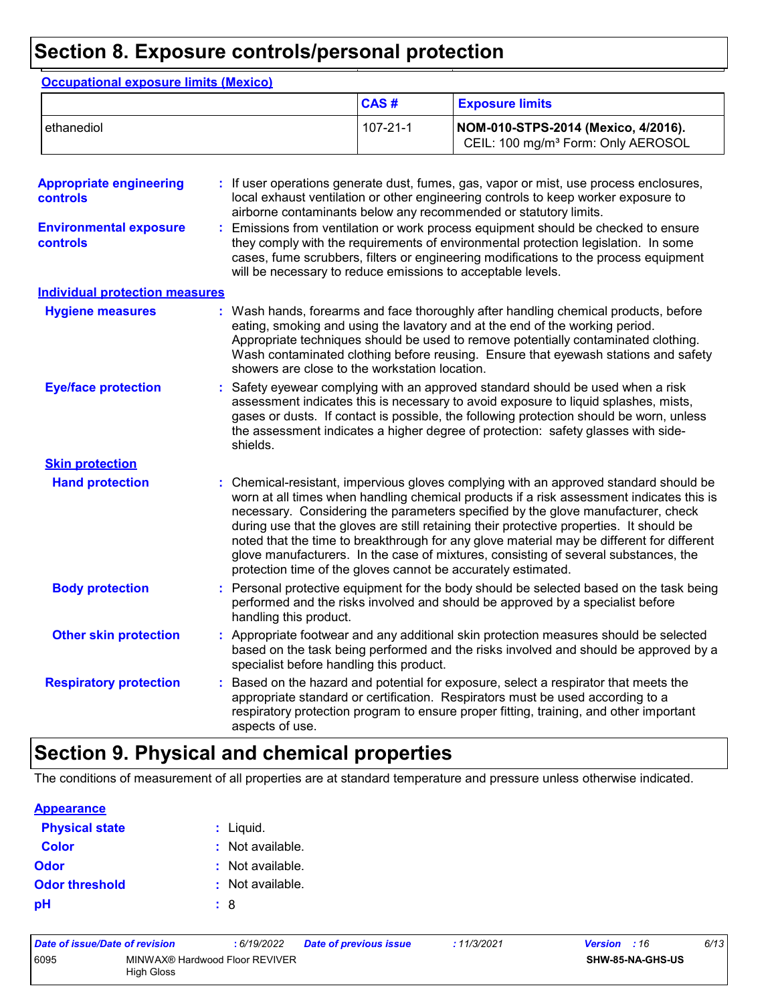## **Section 8. Exposure controls/personal protection**

|                                            |                        | CAS#                                                          | <b>Exposure limits</b>                                                                                                                                                                                                                                                                                                                                                                                                                                                                                                                              |
|--------------------------------------------|------------------------|---------------------------------------------------------------|-----------------------------------------------------------------------------------------------------------------------------------------------------------------------------------------------------------------------------------------------------------------------------------------------------------------------------------------------------------------------------------------------------------------------------------------------------------------------------------------------------------------------------------------------------|
| ethanediol                                 |                        | $107 - 21 - 1$                                                | NOM-010-STPS-2014 (Mexico, 4/2016).<br>CEIL: 100 mg/m <sup>3</sup> Form: Only AEROSOL                                                                                                                                                                                                                                                                                                                                                                                                                                                               |
| <b>Appropriate engineering</b><br>controls |                        |                                                               | If user operations generate dust, fumes, gas, vapor or mist, use process enclosures,<br>local exhaust ventilation or other engineering controls to keep worker exposure to<br>airborne contaminants below any recommended or statutory limits.                                                                                                                                                                                                                                                                                                      |
| <b>Environmental exposure</b><br>controls  |                        | will be necessary to reduce emissions to acceptable levels.   | Emissions from ventilation or work process equipment should be checked to ensure<br>they comply with the requirements of environmental protection legislation. In some<br>cases, fume scrubbers, filters or engineering modifications to the process equipment                                                                                                                                                                                                                                                                                      |
| <b>Individual protection measures</b>      |                        |                                                               |                                                                                                                                                                                                                                                                                                                                                                                                                                                                                                                                                     |
| <b>Hygiene measures</b>                    |                        | showers are close to the workstation location.                | Wash hands, forearms and face thoroughly after handling chemical products, before<br>eating, smoking and using the lavatory and at the end of the working period.<br>Appropriate techniques should be used to remove potentially contaminated clothing.<br>Wash contaminated clothing before reusing. Ensure that eyewash stations and safety                                                                                                                                                                                                       |
| <b>Eye/face protection</b>                 | shields.               |                                                               | Safety eyewear complying with an approved standard should be used when a risk<br>assessment indicates this is necessary to avoid exposure to liquid splashes, mists,<br>gases or dusts. If contact is possible, the following protection should be worn, unless<br>the assessment indicates a higher degree of protection: safety glasses with side-                                                                                                                                                                                                |
| <b>Skin protection</b>                     |                        |                                                               |                                                                                                                                                                                                                                                                                                                                                                                                                                                                                                                                                     |
| <b>Hand protection</b>                     |                        | protection time of the gloves cannot be accurately estimated. | Chemical-resistant, impervious gloves complying with an approved standard should be<br>worn at all times when handling chemical products if a risk assessment indicates this is<br>necessary. Considering the parameters specified by the glove manufacturer, check<br>during use that the gloves are still retaining their protective properties. It should be<br>noted that the time to breakthrough for any glove material may be different for different<br>glove manufacturers. In the case of mixtures, consisting of several substances, the |
| <b>Body protection</b>                     | handling this product. |                                                               | Personal protective equipment for the body should be selected based on the task being<br>performed and the risks involved and should be approved by a specialist before                                                                                                                                                                                                                                                                                                                                                                             |
| <b>Other skin protection</b>               |                        | specialist before handling this product.                      | Appropriate footwear and any additional skin protection measures should be selected<br>based on the task being performed and the risks involved and should be approved by a                                                                                                                                                                                                                                                                                                                                                                         |
| <b>Respiratory protection</b>              | aspects of use.        |                                                               | Based on the hazard and potential for exposure, select a respirator that meets the<br>appropriate standard or certification. Respirators must be used according to a<br>respiratory protection program to ensure proper fitting, training, and other important                                                                                                                                                                                                                                                                                      |

## **Section 9. Physical and chemical properties**

The conditions of measurement of all properties are at standard temperature and pressure unless otherwise indicated.

#### **Appearance**

| <b>Physical state</b> | $:$ Liquid.      |
|-----------------------|------------------|
| <b>Color</b>          | : Not available. |
| Odor                  | : Not available. |
| <b>Odor threshold</b> | : Not available. |
| рH                    | : 8              |

| Date of issue/Date of revision |                                              | : 6/19/2022 | <b>Date of previous issue</b> | :11/3/2021 | <b>Version</b> : 16 |                         | 6/13 |
|--------------------------------|----------------------------------------------|-------------|-------------------------------|------------|---------------------|-------------------------|------|
| 6095                           | MINWAX® Hardwood Floor REVIVER<br>High Gloss |             |                               |            |                     | <b>SHW-85-NA-GHS-US</b> |      |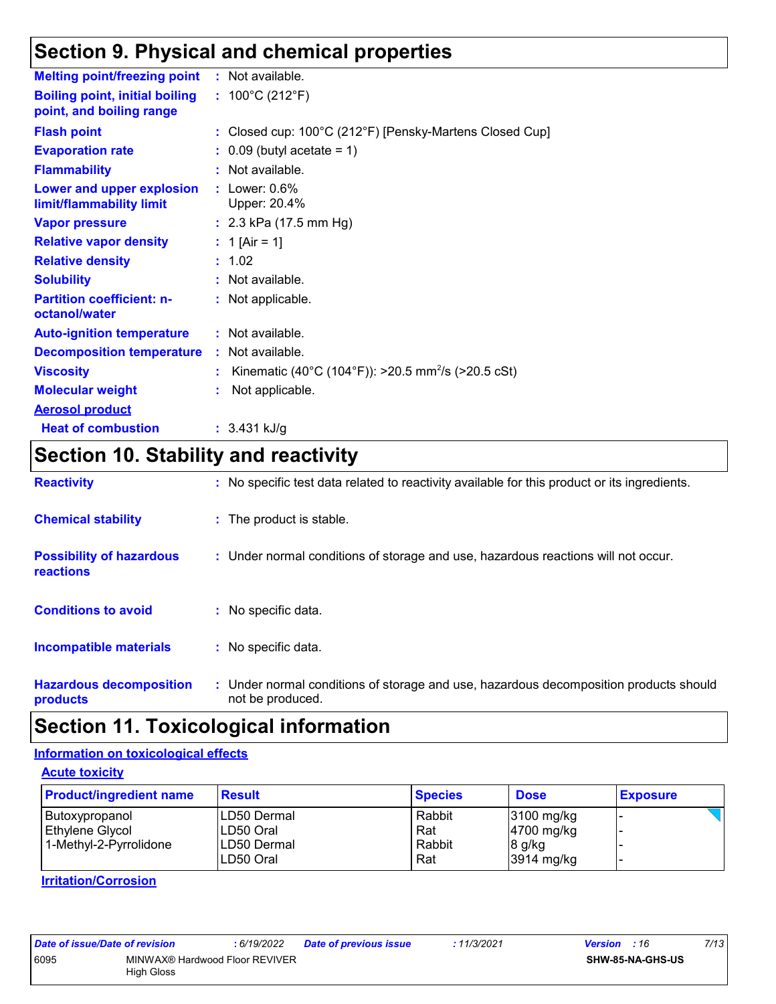## **Section 9. Physical and chemical properties**

| <b>Melting point/freezing point</b>                               | : Not available.                                               |
|-------------------------------------------------------------------|----------------------------------------------------------------|
| <b>Boiling point, initial boiling</b><br>point, and boiling range | : $100^{\circ}$ C (212 $^{\circ}$ F)                           |
| <b>Flash point</b>                                                | : Closed cup: 100°C (212°F) [Pensky-Martens Closed Cup]        |
| <b>Evaporation rate</b>                                           | $\therefore$ 0.09 (butyl acetate = 1)                          |
| <b>Flammability</b>                                               | : Not available.                                               |
| Lower and upper explosion<br>limit/flammability limit             | : Lower: $0.6\%$<br>Upper: 20.4%                               |
| <b>Vapor pressure</b>                                             | : $2.3$ kPa (17.5 mm Hg)                                       |
| <b>Relative vapor density</b>                                     | : 1 [Air = 1]                                                  |
| <b>Relative density</b>                                           | : 1.02                                                         |
| <b>Solubility</b>                                                 | : Not available.                                               |
| <b>Partition coefficient: n-</b><br>octanol/water                 | : Not applicable.                                              |
| <b>Auto-ignition temperature</b>                                  | $:$ Not available.                                             |
| <b>Decomposition temperature</b>                                  | : Not available.                                               |
| <b>Viscosity</b>                                                  | Kinematic (40°C (104°F)): >20.5 mm <sup>2</sup> /s (>20.5 cSt) |
| <b>Molecular weight</b>                                           | Not applicable.                                                |
| <b>Aerosol product</b>                                            |                                                                |
| <b>Heat of combustion</b>                                         | $: 3.431$ kJ/g                                                 |

## **Section 10. Stability and reactivity**

| <b>Reactivity</b>                                   | : No specific test data related to reactivity available for this product or its ingredients.              |
|-----------------------------------------------------|-----------------------------------------------------------------------------------------------------------|
| <b>Chemical stability</b>                           | : The product is stable.                                                                                  |
| <b>Possibility of hazardous</b><br><b>reactions</b> | : Under normal conditions of storage and use, hazardous reactions will not occur.                         |
| <b>Conditions to avoid</b>                          | $:$ No specific data.                                                                                     |
| <b>Incompatible materials</b>                       | : No specific data.                                                                                       |
| <b>Hazardous decomposition</b><br>products          | : Under normal conditions of storage and use, hazardous decomposition products should<br>not be produced. |

## **Section 11. Toxicological information**

### **Information on toxicological effects**

**Acute toxicity**

| <b>Product/ingredient name</b>                              | <b>Result</b>                                           | <b>Species</b>                 | <b>Dose</b>                                                    | <b>Exposure</b> |
|-------------------------------------------------------------|---------------------------------------------------------|--------------------------------|----------------------------------------------------------------|-----------------|
| Butoxypropanol<br>Ethylene Glycol<br>1-Methyl-2-Pyrrolidone | ILD50 Dermal<br>ILD50 Oral<br>ILD50 Dermal<br>LD50 Oral | Rabbit<br>Rat<br>Rabbit<br>Rat | $3100$ mg/kg<br>$ 4700 \text{ mg/kg} $<br>8 g/kg<br>3914 mg/kg |                 |

**Irritation/Corrosion**

| Date of issue/Date of revision |                                                     | :6/19/2022 | <b>Date of previous issue</b> | : 11/3/2021 | <b>Version</b> : 16     | 7/13 |
|--------------------------------|-----------------------------------------------------|------------|-------------------------------|-------------|-------------------------|------|
| 6095                           | MINWAX® Hardwood Floor REVIVER<br><b>High Gloss</b> |            |                               |             | <b>SHW-85-NA-GHS-US</b> |      |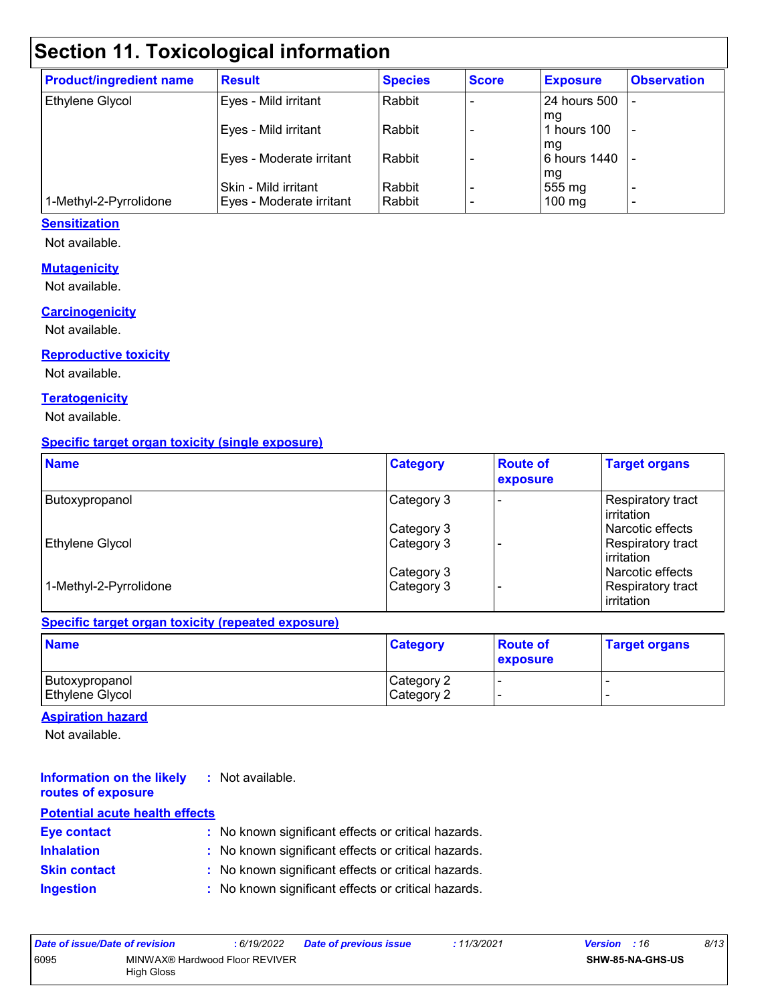## **Section 11. Toxicological information**

| <b>Product/ingredient name</b> | <b>Result</b>                                    | <b>Species</b>   | <b>Score</b> | <b>Exposure</b>          | <b>Observation</b>       |
|--------------------------------|--------------------------------------------------|------------------|--------------|--------------------------|--------------------------|
| Ethylene Glycol                | Eyes - Mild irritant                             | Rabbit           |              | <b>24 hours 500</b>      |                          |
|                                | Eyes - Mild irritant                             | Rabbit           |              | l ma<br>1 hours 100      | $\overline{\phantom{a}}$ |
|                                | Eyes - Moderate irritant                         | Rabbit           |              | l ma<br>6 hours 1440     |                          |
| 1-Methyl-2-Pyrrolidone         | Skin - Mild irritant<br>Eyes - Moderate irritant | Rabbit<br>Rabbit |              | mg<br>555 mg<br>$100$ mg | $\overline{\phantom{0}}$ |

#### **Sensitization**

Not available.

#### **Mutagenicity**

Not available.

#### **Carcinogenicity**

Not available.

#### **Reproductive toxicity**

Not available.

#### **Teratogenicity**

Not available.

#### **Specific target organ toxicity (single exposure)**

| <b>Name</b>            | <b>Category</b> | <b>Route of</b><br>exposure | <b>Target organs</b>                    |
|------------------------|-----------------|-----------------------------|-----------------------------------------|
| Butoxypropanol         | Category 3      |                             | Respiratory tract<br>l irritation       |
|                        | Category 3      |                             | Narcotic effects                        |
| <b>Ethylene Glycol</b> | Category 3      |                             | Respiratory tract<br><b>lirritation</b> |
|                        | Category 3      |                             | l Narcotic effects                      |
| 1-Methyl-2-Pyrrolidone | Category 3      |                             | Respiratory tract<br><b>lirritation</b> |

#### **Specific target organ toxicity (repeated exposure)**

| <b>Name</b>            | <b>Category</b> | <b>Route of</b><br><b>exposure</b> | <b>Target organs</b> |
|------------------------|-----------------|------------------------------------|----------------------|
| Butoxypropanol         | Category 2      |                                    |                      |
| <b>Ethylene Glycol</b> | Category 2      |                                    |                      |

#### **Aspiration hazard**

Not available.

#### **Information on the likely :** Not available. **routes of exposure**

| <b>Potential acute health effects</b> |                                                     |
|---------------------------------------|-----------------------------------------------------|
| <b>Eye contact</b>                    | : No known significant effects or critical hazards. |
| <b>Inhalation</b>                     | : No known significant effects or critical hazards. |
| <b>Skin contact</b>                   | : No known significant effects or critical hazards. |
| <b>Ingestion</b>                      | : No known significant effects or critical hazards. |

| Date of issue/Date of revision |                                              | : 6/19/2022 | <b>Date of previous issue</b> | : 11/3/2021 | <b>Version</b> : 16 |                         | 8/13 |
|--------------------------------|----------------------------------------------|-------------|-------------------------------|-------------|---------------------|-------------------------|------|
| 6095                           | MINWAX® Hardwood Floor REVIVER<br>High Gloss |             |                               |             |                     | <b>SHW-85-NA-GHS-US</b> |      |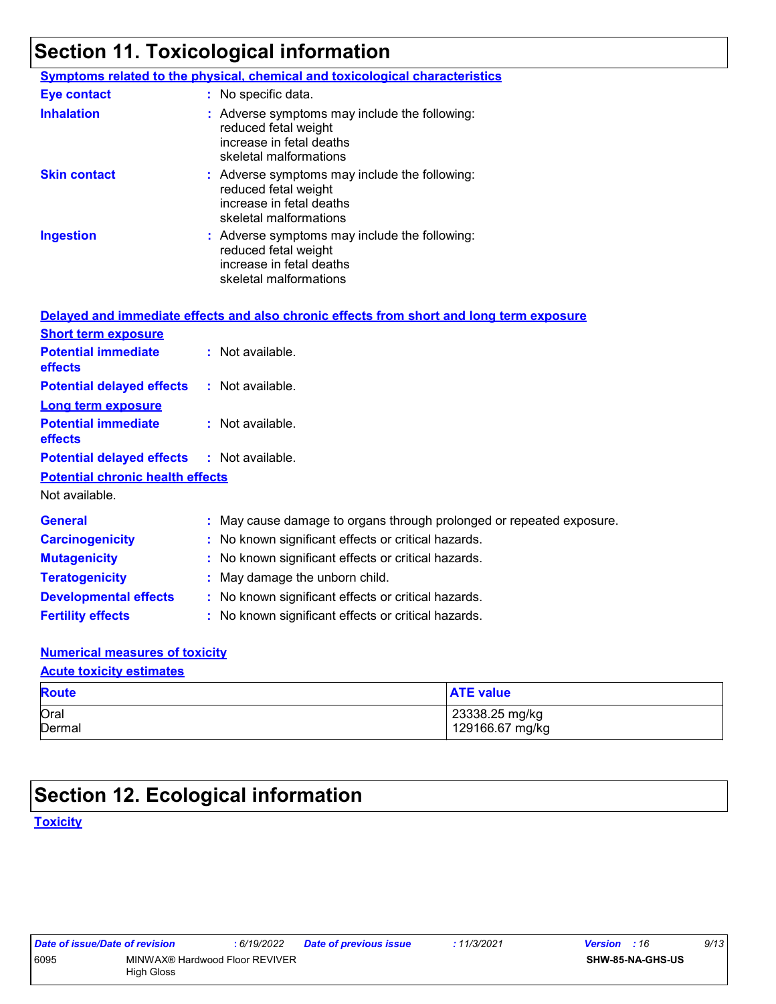## **Section 11. Toxicological information**

|                     | <b>Symptoms related to the physical, chemical and toxicological characteristics</b>                                         |
|---------------------|-----------------------------------------------------------------------------------------------------------------------------|
| <b>Eye contact</b>  | : No specific data.                                                                                                         |
| <b>Inhalation</b>   | : Adverse symptoms may include the following:<br>reduced fetal weight<br>increase in fetal deaths<br>skeletal malformations |
| <b>Skin contact</b> | : Adverse symptoms may include the following:<br>reduced fetal weight<br>increase in fetal deaths<br>skeletal malformations |
| <b>Ingestion</b>    | : Adverse symptoms may include the following:<br>reduced fetal weight<br>increase in fetal deaths<br>skeletal malformations |

|                                                   | Delayed and immediate effects and also chronic effects from short and long term exposure |
|---------------------------------------------------|------------------------------------------------------------------------------------------|
| <b>Short term exposure</b>                        |                                                                                          |
| <b>Potential immediate</b><br>effects             | : Not available.                                                                         |
| <b>Potential delayed effects</b>                  | : Not available.                                                                         |
| <b>Long term exposure</b>                         |                                                                                          |
| <b>Potential immediate</b><br><b>effects</b>      | : Not available.                                                                         |
| <b>Potential delayed effects : Not available.</b> |                                                                                          |
| <b>Potential chronic health effects</b>           |                                                                                          |
| Not available.                                    |                                                                                          |
| <b>General</b>                                    | : May cause damage to organs through prolonged or repeated exposure.                     |
| <b>Carcinogenicity</b>                            | : No known significant effects or critical hazards.                                      |
| <b>Mutagenicity</b>                               | : No known significant effects or critical hazards.                                      |
| <b>Teratogenicity</b>                             | : May damage the unborn child.                                                           |
| <b>Developmental effects</b>                      | : No known significant effects or critical hazards.                                      |
| <b>Fertility effects</b>                          | : No known significant effects or critical hazards.                                      |

#### **Numerical measures of toxicity**

#### **Acute toxicity estimates**

| <b>Route</b>   | <b>ATE value</b> |
|----------------|------------------|
| Oral<br>Dermal | 23338.25 mg/kg   |
|                | 129166.67 mg/kg  |

## **Section 12. Ecological information**

**Toxicity**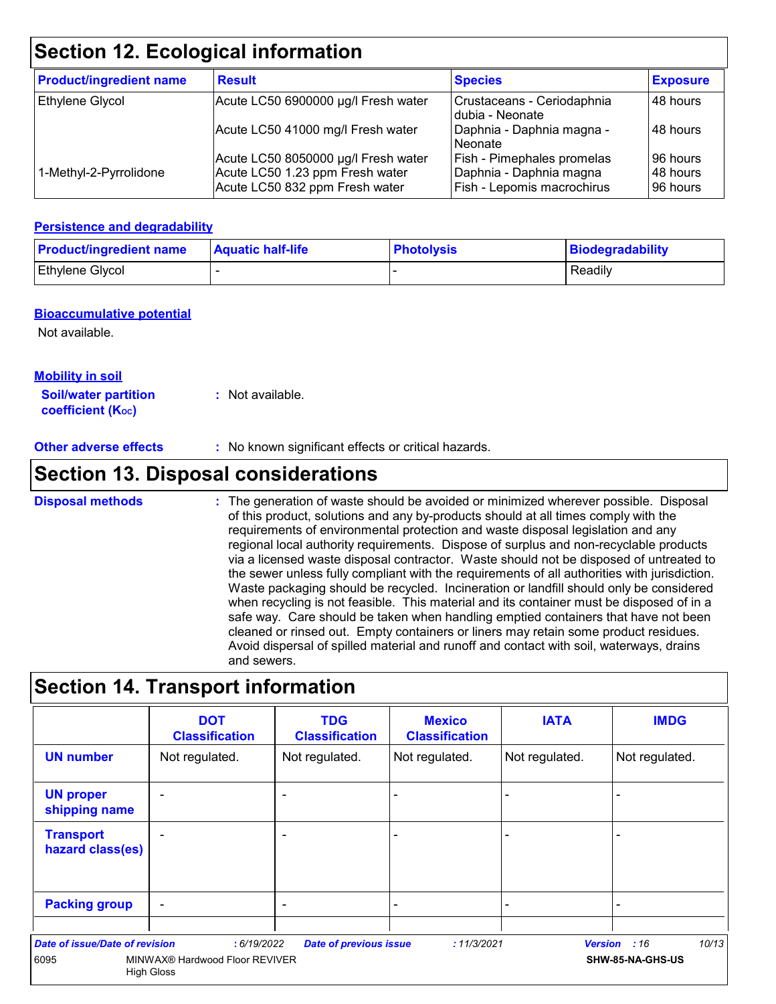## **Section 12. Ecological information**

| <b>Product/ingredient name</b> | <b>Result</b>                                                     | <b>Species</b>                                        | <b>Exposure</b>      |
|--------------------------------|-------------------------------------------------------------------|-------------------------------------------------------|----------------------|
| <b>Ethylene Glycol</b>         | Acute LC50 6900000 µg/l Fresh water                               | Crustaceans - Ceriodaphnia<br>Idubia - Neonate        | 48 hours             |
|                                | Acute LC50 41000 mg/l Fresh water                                 | Daphnia - Daphnia magna -<br>Neonate                  | 48 hours             |
|                                | Acute LC50 8050000 µg/l Fresh water                               | Fish - Pimephales promelas                            | 96 hours             |
| 1-Methyl-2-Pyrrolidone         | Acute LC50 1.23 ppm Fresh water<br>Acute LC50 832 ppm Fresh water | Daphnia - Daphnia magna<br>Fish - Lepomis macrochirus | 48 hours<br>96 hours |

#### **Persistence and degradability**

| <b>Product/ingredient name</b> | <b>Aquatic half-life</b> | <b>Photolysis</b> | Biodegradability |
|--------------------------------|--------------------------|-------------------|------------------|
| <b>Ethylene Glycol</b>         |                          |                   | Readily          |

#### **Bioaccumulative potential**

Not available.

#### **Mobility in soil**

**Soil/water partition coefficient (KOC) :** Not available.

**Other adverse effects** : No known significant effects or critical hazards.

## **Section 13. Disposal considerations**

The generation of waste should be avoided or minimized wherever possible. Disposal of this product, solutions and any by-products should at all times comply with the requirements of environmental protection and waste disposal legislation and any regional local authority requirements. Dispose of surplus and non-recyclable products via a licensed waste disposal contractor. Waste should not be disposed of untreated to the sewer unless fully compliant with the requirements of all authorities with jurisdiction. Waste packaging should be recycled. Incineration or landfill should only be considered when recycling is not feasible. This material and its container must be disposed of in a safe way. Care should be taken when handling emptied containers that have not been cleaned or rinsed out. Empty containers or liners may retain some product residues. Avoid dispersal of spilled material and runoff and contact with soil, waterways, drains and sewers. **Disposal methods :**

## **Section 14. Transport information**

|                                               | <b>DOT</b><br><b>Classification</b>                                | <b>TDG</b><br><b>Classification</b> | <b>Mexico</b><br><b>Classification</b> | <b>IATA</b>    | <b>IMDG</b>                               |
|-----------------------------------------------|--------------------------------------------------------------------|-------------------------------------|----------------------------------------|----------------|-------------------------------------------|
| <b>UN number</b>                              | Not regulated.                                                     | Not regulated.                      | Not regulated.                         | Not regulated. | Not regulated.                            |
| <b>UN proper</b><br>shipping name             |                                                                    | $\blacksquare$                      |                                        |                |                                           |
| <b>Transport</b><br>hazard class(es)          |                                                                    | $\overline{\phantom{0}}$            |                                        |                |                                           |
| <b>Packing group</b>                          |                                                                    | $\blacksquare$                      |                                        |                |                                           |
| <b>Date of issue/Date of revision</b><br>6095 | : 6/19/2022<br>MINWAX® Hardwood Floor REVIVER<br><b>High Gloss</b> | <b>Date of previous issue</b>       | : 11/3/2021                            |                | 10/13<br>Version : 16<br>SHW-85-NA-GHS-US |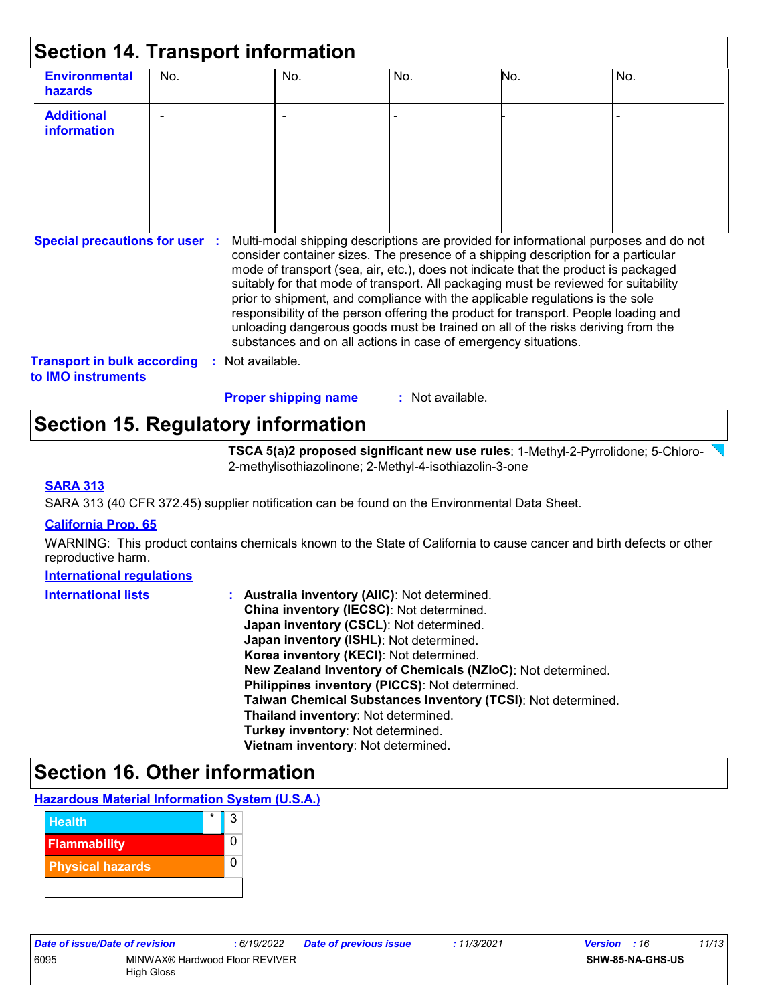| <b>Additional</b>                                                                                                                                         |                |                                                                |                                                                                                                                                                                                                                                                                                                                                                                                                                                                                                                           |  |
|-----------------------------------------------------------------------------------------------------------------------------------------------------------|----------------|----------------------------------------------------------------|---------------------------------------------------------------------------------------------------------------------------------------------------------------------------------------------------------------------------------------------------------------------------------------------------------------------------------------------------------------------------------------------------------------------------------------------------------------------------------------------------------------------------|--|
| information                                                                                                                                               |                |                                                                |                                                                                                                                                                                                                                                                                                                                                                                                                                                                                                                           |  |
| Special precautions for user : Multi-modal shipping descriptions are provided for informational purposes and do not<br><b>Transport in bulk according</b> | Not available. | substances and on all actions in case of emergency situations. | consider container sizes. The presence of a shipping description for a particular<br>mode of transport (sea, air, etc.), does not indicate that the product is packaged<br>suitably for that mode of transport. All packaging must be reviewed for suitability<br>prior to shipment, and compliance with the applicable regulations is the sole<br>responsibility of the person offering the product for transport. People loading and<br>unloading dangerous goods must be trained on all of the risks deriving from the |  |

## **Section 15. Regulatory information**

**TSCA 5(a)2 proposed significant new use rules**: 1-Methyl-2-Pyrrolidone; 5-Chloro-2-methylisothiazolinone; 2-Methyl-4-isothiazolin-3-one

#### **SARA 313**

SARA 313 (40 CFR 372.45) supplier notification can be found on the Environmental Data Sheet.

#### **California Prop. 65**

WARNING: This product contains chemicals known to the State of California to cause cancer and birth defects or other reproductive harm.

#### **International regulations**

| <b>International lists</b> | : Australia inventory (AIIC): Not determined.                |
|----------------------------|--------------------------------------------------------------|
|                            | China inventory (IECSC): Not determined.                     |
|                            | Japan inventory (CSCL): Not determined.                      |
|                            | Japan inventory (ISHL): Not determined.                      |
|                            | Korea inventory (KECI): Not determined.                      |
|                            | New Zealand Inventory of Chemicals (NZIoC): Not determined.  |
|                            | Philippines inventory (PICCS): Not determined.               |
|                            | Taiwan Chemical Substances Inventory (TCSI): Not determined. |
|                            | Thailand inventory: Not determined.                          |
|                            | Turkey inventory: Not determined.                            |
|                            | Vietnam inventory: Not determined.                           |

### **Section 16. Other information**

#### **Hazardous Material Information System (U.S.A.)**

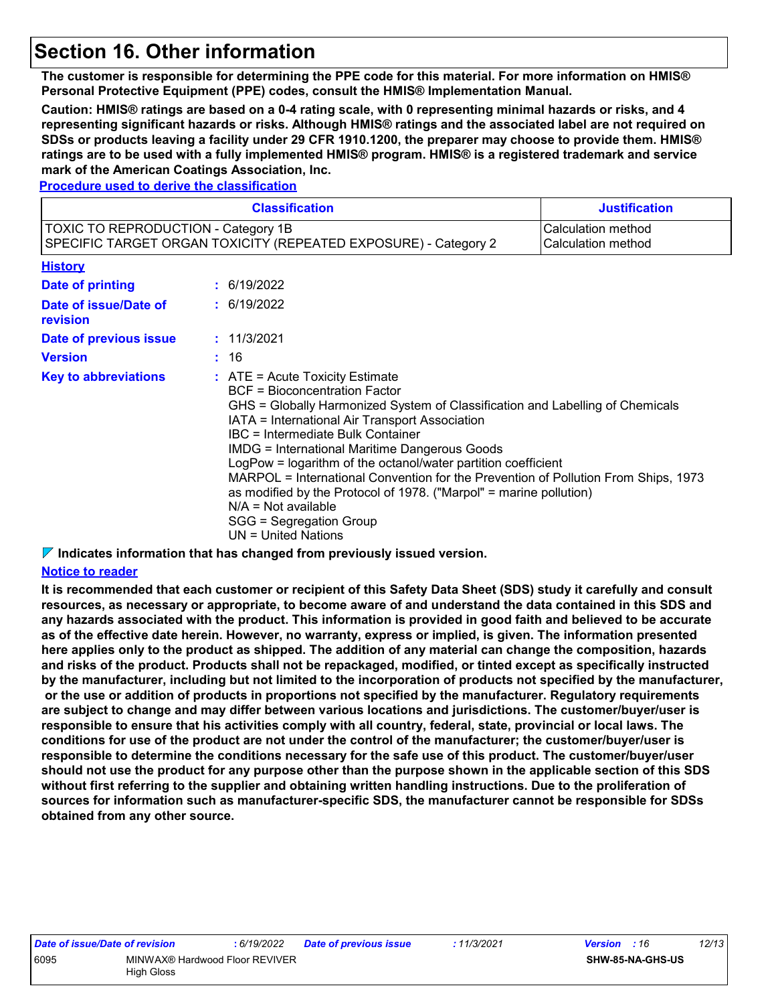## **Section 16. Other information**

**The customer is responsible for determining the PPE code for this material. For more information on HMIS® Personal Protective Equipment (PPE) codes, consult the HMIS® Implementation Manual.**

**Caution: HMIS® ratings are based on a 0-4 rating scale, with 0 representing minimal hazards or risks, and 4 representing significant hazards or risks. Although HMIS® ratings and the associated label are not required on SDSs or products leaving a facility under 29 CFR 1910.1200, the preparer may choose to provide them. HMIS® ratings are to be used with a fully implemented HMIS® program. HMIS® is a registered trademark and service mark of the American Coatings Association, Inc.**

**Procedure used to derive the classification**

|                                            | <b>Classification</b>                                                                                                                                                                                                                                                                                                                                                                                                                                                                                                                                                                                        | <b>Justification</b>                     |
|--------------------------------------------|--------------------------------------------------------------------------------------------------------------------------------------------------------------------------------------------------------------------------------------------------------------------------------------------------------------------------------------------------------------------------------------------------------------------------------------------------------------------------------------------------------------------------------------------------------------------------------------------------------------|------------------------------------------|
| <b>TOXIC TO REPRODUCTION - Category 1B</b> | SPECIFIC TARGET ORGAN TOXICITY (REPEATED EXPOSURE) - Category 2                                                                                                                                                                                                                                                                                                                                                                                                                                                                                                                                              | Calculation method<br>Calculation method |
| <b>History</b>                             |                                                                                                                                                                                                                                                                                                                                                                                                                                                                                                                                                                                                              |                                          |
| Date of printing                           | : 6/19/2022                                                                                                                                                                                                                                                                                                                                                                                                                                                                                                                                                                                                  |                                          |
| Date of issue/Date of<br>revision          | : 6/19/2022                                                                                                                                                                                                                                                                                                                                                                                                                                                                                                                                                                                                  |                                          |
| Date of previous issue                     | : 11/3/2021                                                                                                                                                                                                                                                                                                                                                                                                                                                                                                                                                                                                  |                                          |
| <b>Version</b>                             | : 16                                                                                                                                                                                                                                                                                                                                                                                                                                                                                                                                                                                                         |                                          |
| <b>Key to abbreviations</b>                | $:$ ATE = Acute Toxicity Estimate<br>BCF = Bioconcentration Factor<br>GHS = Globally Harmonized System of Classification and Labelling of Chemicals<br>IATA = International Air Transport Association<br>IBC = Intermediate Bulk Container<br><b>IMDG = International Maritime Dangerous Goods</b><br>LogPow = logarithm of the octanol/water partition coefficient<br>MARPOL = International Convention for the Prevention of Pollution From Ships, 1973<br>as modified by the Protocol of 1978. ("Marpol" = marine pollution)<br>$N/A = Not available$<br>SGG = Segregation Group<br>$UN = United Nations$ |                                          |

**Indicates information that has changed from previously issued version.**

#### **Notice to reader**

**It is recommended that each customer or recipient of this Safety Data Sheet (SDS) study it carefully and consult resources, as necessary or appropriate, to become aware of and understand the data contained in this SDS and any hazards associated with the product. This information is provided in good faith and believed to be accurate as of the effective date herein. However, no warranty, express or implied, is given. The information presented here applies only to the product as shipped. The addition of any material can change the composition, hazards and risks of the product. Products shall not be repackaged, modified, or tinted except as specifically instructed by the manufacturer, including but not limited to the incorporation of products not specified by the manufacturer, or the use or addition of products in proportions not specified by the manufacturer. Regulatory requirements are subject to change and may differ between various locations and jurisdictions. The customer/buyer/user is responsible to ensure that his activities comply with all country, federal, state, provincial or local laws. The conditions for use of the product are not under the control of the manufacturer; the customer/buyer/user is responsible to determine the conditions necessary for the safe use of this product. The customer/buyer/user should not use the product for any purpose other than the purpose shown in the applicable section of this SDS without first referring to the supplier and obtaining written handling instructions. Due to the proliferation of sources for information such as manufacturer-specific SDS, the manufacturer cannot be responsible for SDSs obtained from any other source.**